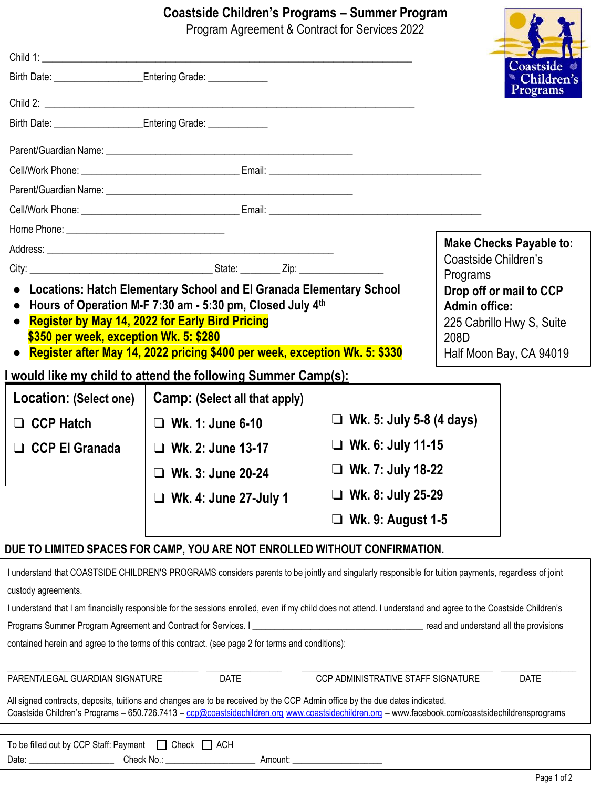# **Coastside Children's Programs – Summer Program**

|                                                                                                                                                                                                                                                                                                                     | Coastside Children's Programs – Summer Program                                                                                                                                                                                                                                   | Program Agreement & Contract for Services 2022 |                                                                                                                 |
|---------------------------------------------------------------------------------------------------------------------------------------------------------------------------------------------------------------------------------------------------------------------------------------------------------------------|----------------------------------------------------------------------------------------------------------------------------------------------------------------------------------------------------------------------------------------------------------------------------------|------------------------------------------------|-----------------------------------------------------------------------------------------------------------------|
|                                                                                                                                                                                                                                                                                                                     |                                                                                                                                                                                                                                                                                  |                                                |                                                                                                                 |
|                                                                                                                                                                                                                                                                                                                     |                                                                                                                                                                                                                                                                                  |                                                | Coastside<br>Children's                                                                                         |
|                                                                                                                                                                                                                                                                                                                     |                                                                                                                                                                                                                                                                                  |                                                | <b>Programs</b>                                                                                                 |
| Birth Date: <u>_________________________</u> Entering Grade: _______________                                                                                                                                                                                                                                        |                                                                                                                                                                                                                                                                                  |                                                |                                                                                                                 |
|                                                                                                                                                                                                                                                                                                                     |                                                                                                                                                                                                                                                                                  |                                                |                                                                                                                 |
|                                                                                                                                                                                                                                                                                                                     |                                                                                                                                                                                                                                                                                  |                                                |                                                                                                                 |
|                                                                                                                                                                                                                                                                                                                     |                                                                                                                                                                                                                                                                                  |                                                |                                                                                                                 |
|                                                                                                                                                                                                                                                                                                                     |                                                                                                                                                                                                                                                                                  |                                                |                                                                                                                 |
|                                                                                                                                                                                                                                                                                                                     |                                                                                                                                                                                                                                                                                  |                                                |                                                                                                                 |
|                                                                                                                                                                                                                                                                                                                     |                                                                                                                                                                                                                                                                                  |                                                | <b>Make Checks Payable to:</b>                                                                                  |
|                                                                                                                                                                                                                                                                                                                     |                                                                                                                                                                                                                                                                                  |                                                | Coastside Children's<br>Programs                                                                                |
| • Locations: Hatch Elementary School and El Granada Elementary School<br>• Hours of Operation M-F 7:30 am - 5:30 pm, Closed July 4th<br>• Register by May 14, 2022 for Early Bird Pricing<br>\$350 per week, exception Wk. 5: \$280<br>• Register after May 14, 2022 pricing \$400 per week, exception Wk. 5: \$330 |                                                                                                                                                                                                                                                                                  |                                                | Drop off or mail to CCP<br><b>Admin office:</b><br>225 Cabrillo Hwy S, Suite<br>208D<br>Half Moon Bay, CA 94019 |
|                                                                                                                                                                                                                                                                                                                     | <u>I would like my child to attend the following Summer Camp(s):</u>                                                                                                                                                                                                             |                                                |                                                                                                                 |
| Location: (Select one)                                                                                                                                                                                                                                                                                              | Camp: (Select all that apply)                                                                                                                                                                                                                                                    |                                                |                                                                                                                 |
| $\Box$ CCP Hatch                                                                                                                                                                                                                                                                                                    | $\Box$ Wk. 1: June 6-10                                                                                                                                                                                                                                                          | $\Box$ Wk. 5: July 5-8 (4 days)                |                                                                                                                 |
| <b>CCP El Granada</b>                                                                                                                                                                                                                                                                                               | $\Box$ Wk. 2: June 13-17                                                                                                                                                                                                                                                         | $\Box$ Wk. 6: July 11-15                       |                                                                                                                 |
|                                                                                                                                                                                                                                                                                                                     | $\Box$ Wk. 3: June 20-24                                                                                                                                                                                                                                                         | $\Box$ Wk. 7: July 18-22                       |                                                                                                                 |
|                                                                                                                                                                                                                                                                                                                     | $\Box$ Wk. 4: June 27-July 1                                                                                                                                                                                                                                                     | $\Box$ Wk. 8: July 25-29                       |                                                                                                                 |
|                                                                                                                                                                                                                                                                                                                     |                                                                                                                                                                                                                                                                                  | コ Wk. 9: August 1-5                            |                                                                                                                 |
|                                                                                                                                                                                                                                                                                                                     | DUE TO LIMITED SPACES FOR CAMP, YOU ARE NOT ENROLLED WITHOUT CONFIRMATION.                                                                                                                                                                                                       |                                                |                                                                                                                 |
|                                                                                                                                                                                                                                                                                                                     | I understand that COASTSIDE CHILDREN'S PROGRAMS considers parents to be jointly and singularly responsible for tuition payments, regardless of joint                                                                                                                             |                                                |                                                                                                                 |
| custody agreements.                                                                                                                                                                                                                                                                                                 |                                                                                                                                                                                                                                                                                  |                                                |                                                                                                                 |
|                                                                                                                                                                                                                                                                                                                     | I understand that I am financially responsible for the sessions enrolled, even if my child does not attend. I understand and agree to the Coastside Children's<br>Programs Summer Program Agreement and Contract for Services. I Communication Control Control Control Control C |                                                | read and understand all the provisions                                                                          |
|                                                                                                                                                                                                                                                                                                                     | contained herein and agree to the terms of this contract. (see page 2 for terms and conditions):                                                                                                                                                                                 |                                                |                                                                                                                 |
| PARENT/LEGAL GUARDIAN SIGNATURE                                                                                                                                                                                                                                                                                     | DATE                                                                                                                                                                                                                                                                             | CCP ADMINISTRATIVE STAFF SIGNATURE             | DATE                                                                                                            |
|                                                                                                                                                                                                                                                                                                                     | All signed contracts, deposits, tuitions and changes are to be received by the CCP Admin office by the due dates indicated.<br>Coastside Children's Programs - 650.726.7413 - ccp@coastsidechildren.org www.coastsidechildren.org - www.facebook.com/coastsidechildrensprograms  |                                                |                                                                                                                 |
| To be filled out by CCP Staff: Payment                                                                                                                                                                                                                                                                              | $\Box$ Check $\Box$ ACH                                                                                                                                                                                                                                                          |                                                |                                                                                                                 |
| Check No.:<br>Date:                                                                                                                                                                                                                                                                                                 | Amount:                                                                                                                                                                                                                                                                          |                                                |                                                                                                                 |